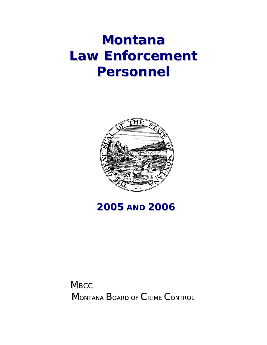## **Montana Law Enforcement Personnel**



## **2005 AND 2006**

**MBCC** MONTANA BOARD OF CRIME CONTROL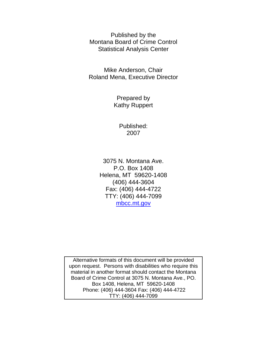Published by the Montana Board of Crime Control Statistical Analysis Center

Mike Anderson, Chair Roland Mena, Executive Director

> Prepared by Kathy Ruppert

> > Published: 2007

3075 N. Montana Ave. P.O. Box 1408 Helena, MT 59620-1408 (406) 444-3604 Fax: (406) 444-4722 TTY: (406) 444-7099 mbcc.mt.gov

Alternative formats of this document will be provided upon request. Persons with disabilities who require this material in another format should contact the Montana Board of Crime Control at 3075 N. Montana Ave., PO. Box 1408, Helena, MT 59620-1408 Phone: (406) 444-3604 Fax: (406) 444-4722 TTY: (406) 444-7099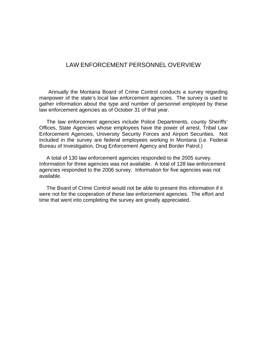## LAW ENFORCEMENT PERSONNEL OVERVIEW

 Annually the Montana Board of Crime Control conducts a survey regarding manpower of the state's local law enforcement agencies. The survey is used to gather information about the type and number of personnel employed by these law enforcement agencies as of October 31 of that year.

 The law enforcement agencies include Police Departments, county Sheriffs' Offices, State Agencies whose employees have the power of arrest, Tribal Law Enforcement Agencies, University Security Forces and Airport Securities. Not included in the survey are federal employees working in Montana (i.e. Federal Bureau of Investigation, Drug Enforcement Agency and Border Patrol.)

 A total of 130 law enforcement agencies responded to the 2005 survey. Information for three agencies was not available. A total of 128 law enforcement agencies responded to the 2006 survey. Information for five agencies was not available.

 The Board of Crime Control would not be able to present this information if it were not for the cooperation of these law enforcement agencies. The effort and time that went into completing the survey are greatly appreciated.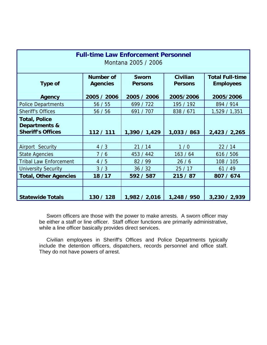| <b>Full-time Law Enforcement Personnel</b><br>Montana 2005 / 2006 |                                     |                                |                                   |                                            |  |  |  |  |
|-------------------------------------------------------------------|-------------------------------------|--------------------------------|-----------------------------------|--------------------------------------------|--|--|--|--|
| <b>Type of</b>                                                    | <b>Number of</b><br><b>Agencies</b> | <b>Sworn</b><br><b>Persons</b> | <b>Civilian</b><br><b>Persons</b> | <b>Total Full-time</b><br><b>Employees</b> |  |  |  |  |
| <b>Agency</b>                                                     | 2005 / 2006                         | 2005 / 2006                    | 2005/2006                         | 2005/2006                                  |  |  |  |  |
| <b>Police Departments</b>                                         | 56/55                               | 699 / 722                      | 195 / 192                         | 894 / 914                                  |  |  |  |  |
| <b>Sheriff's Offices</b>                                          | 56/56                               | 691 / 707                      | 838 / 671                         | 1,529 / 1,351                              |  |  |  |  |
| <b>Total, Police</b><br>Departments &<br><b>Sheriff's Offices</b> | 112 / 111                           | 1,390 / 1,429                  | 1,033 / 863                       | 2,423 / 2,265                              |  |  |  |  |
|                                                                   |                                     |                                |                                   |                                            |  |  |  |  |
| Airport Security                                                  | 4/3                                 | 21/14                          | 1/0                               | 22/14                                      |  |  |  |  |
| <b>State Agencies</b>                                             | 7/6                                 | 453 / 442                      | 163/64                            | 616 / 506                                  |  |  |  |  |
| <b>Tribal Law Enforcement</b>                                     | 4/5                                 | 82 / 99                        | 26/6                              | 108 / 105                                  |  |  |  |  |
| <b>University Security</b>                                        | 3/3                                 | 36/32                          | 25/17                             | 61/49                                      |  |  |  |  |
| <b>Total, Other Agencies</b>                                      | 18/17                               | 592 / 587                      | 215/87                            | 807 / 674                                  |  |  |  |  |
|                                                                   |                                     |                                |                                   |                                            |  |  |  |  |
| <b>Statewide Totals</b>                                           | 130 / 128                           | 1,982 / 2,016                  | 1,248 / 950                       | 3,230 / 2,939                              |  |  |  |  |

 Sworn officers are those with the power to make arrests. A sworn officer may be either a staff or line officer. Staff officer functions are primarily administrative, while a line officer basically provides direct services.

 Civilian employees in Sheriff's Offices and Police Departments typically include the detention officers, dispatchers, records personnel and office staff. They do not have powers of arrest.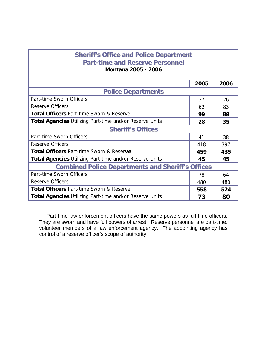| <b>Sheriff's Office and Police Department</b>                  |      |      |  |  |  |  |  |
|----------------------------------------------------------------|------|------|--|--|--|--|--|
| <b>Part-time and Reserve Personnel</b>                         |      |      |  |  |  |  |  |
| <b>Montana 2005 - 2006</b>                                     |      |      |  |  |  |  |  |
|                                                                |      |      |  |  |  |  |  |
|                                                                | 2005 | 2006 |  |  |  |  |  |
| <b>Police Departments</b>                                      |      |      |  |  |  |  |  |
| Part-time Sworn Officers                                       | 37   | 26   |  |  |  |  |  |
| <b>Reserve Officers</b>                                        | 62   | 83   |  |  |  |  |  |
| <b>Total Officers Part-time Sworn &amp; Reserve</b>            | 99   | 89   |  |  |  |  |  |
| <b>Total Agencies Utilizing Part-time and/or Reserve Units</b> | 28   | 35   |  |  |  |  |  |
| <b>Sheriff's Offices</b>                                       |      |      |  |  |  |  |  |
| Part-time Sworn Officers                                       | 41   | 38   |  |  |  |  |  |
| <b>Reserve Officers</b>                                        | 418  | 397  |  |  |  |  |  |
| <b>Total Officers Part-time Sworn &amp; Reserve</b>            | 459  | 435  |  |  |  |  |  |
| <b>Total Agencies Utilizing Part-time and/or Reserve Units</b> | 45   | 45   |  |  |  |  |  |
| <b>Combined Police Departments and Sheriff's Offices</b>       |      |      |  |  |  |  |  |
| Part-time Sworn Officers                                       | 78   | 64   |  |  |  |  |  |
| <b>Reserve Officers</b>                                        | 480  | 480  |  |  |  |  |  |
| <b>Total Officers Part-time Sworn &amp; Reserve</b>            | 558  | 524  |  |  |  |  |  |
| <b>Total Agencies Utilizing Part-time and/or Reserve Units</b> | 73   | 80   |  |  |  |  |  |

 Part-time law enforcement officers have the same powers as full-time officers. They are sworn and have full powers of arrest. Reserve personnel are part-time, volunteer members of a law enforcement agency. The appointing agency has control of a reserve officer's scope of authority.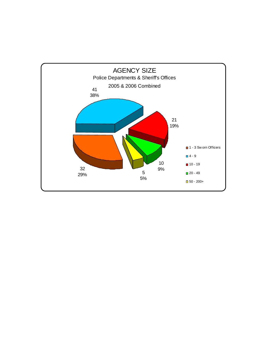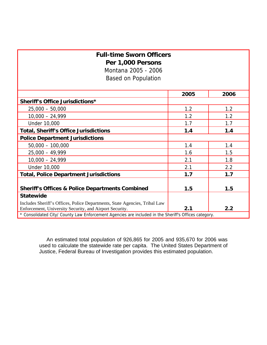## **Full-time Sworn Officers Per 1,000 Persons**  Montana 2005 - 2006

Based on Population

|                                                                                                      | 2005 | 2006 |  |  |  |  |
|------------------------------------------------------------------------------------------------------|------|------|--|--|--|--|
| Sheriff's Office Jurisdictions*                                                                      |      |      |  |  |  |  |
| $25,000 - 50,000$                                                                                    | 1.2  | 1.2  |  |  |  |  |
| $10,000 - 24,999$                                                                                    | 1.2  | 1.2  |  |  |  |  |
| <b>Under 10,000</b>                                                                                  | 1.7  | 1.7  |  |  |  |  |
| <b>Total, Sheriff's Office Jurisdictions</b>                                                         | 1.4  | 1.4  |  |  |  |  |
| <b>Police Department Jurisdictions</b>                                                               |      |      |  |  |  |  |
| $50,000 - 100,000$                                                                                   | 1.4  | 1.4  |  |  |  |  |
| $25,000 - 49,999$                                                                                    | 1.6  | 1.5  |  |  |  |  |
| $10,000 - 24,999$                                                                                    | 2.1  | 1.8  |  |  |  |  |
| Under 10,000                                                                                         | 2.1  | 2.2  |  |  |  |  |
| <b>Total, Police Department Jurisdictions</b>                                                        | 1.7  | 1.7  |  |  |  |  |
|                                                                                                      |      |      |  |  |  |  |
| <b>Sheriff's Offices &amp; Police Departments Combined</b>                                           | 1.5  | 1.5  |  |  |  |  |
| <b>Statewide</b>                                                                                     |      |      |  |  |  |  |
| Includes Sheriff's Offices, Police Departments, State Agencies, Tribal Law                           |      |      |  |  |  |  |
| Enforcement, University Security, and Airport Security.                                              | 2.1  | 2.2  |  |  |  |  |
| * Consolidated City/ County Law Enforcement Agencies are included in the Sheriff's Offices category. |      |      |  |  |  |  |

 An estimated total population of 926,865 for 2005 and 935,670 for 2006 was used to calculate the statewide rate per capita. The United States Department of Justice, Federal Bureau of Investigation provides this estimated population.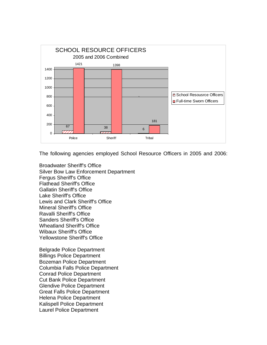

The following agencies employed School Resource Officers in 2005 and 2006:

Broadwater Sheriff's Office Silver Bow Law Enforcement Department Fergus Sheriff's Office Flathead Sheriff's Office Gallatin Sheriff's Office Lake Sheriff's Office Lewis and Clark Sheriff's Office Mineral Sheriff's Office Ravalli Sheriff's Office Sanders Sheriff's Office Wheatland Sheriff's Office Wibaux Sheriff's Office Yellowstone Sheriff's Office

Belgrade Police Department Billings Police Department Bozeman Police Department Columbia Falls Police Department Conrad Police Department Cut Bank Police Department Glendive Police Department Great Falls Police Department Helena Police Department Kalispell Police Department Laurel Police Department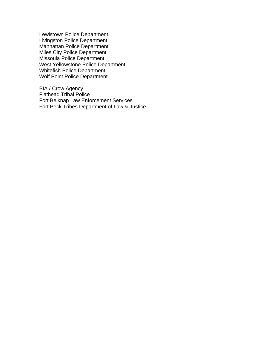Lewistown Police Department Livingston Police Department Manhattan Police Department Miles City Police Department Missoula Police Department West Yellowstone Police Department Whitefish Police Department Wolf Point Police Department

BIA / Crow Agency Flathead Tribal Police Fort Belknap Law Enforcement Services Fort Peck Tribes Department of Law & Justice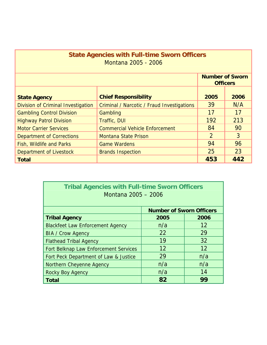| <b>State Agencies with Full-time Sworn Officers</b><br>Montana 2005 - 2006 |                                            |               |      |  |  |  |  |
|----------------------------------------------------------------------------|--------------------------------------------|---------------|------|--|--|--|--|
| <b>Number of Sworn</b><br><b>Officers</b>                                  |                                            |               |      |  |  |  |  |
| <b>State Agency</b>                                                        | <b>Chief Responsibility</b>                | 2005          | 2006 |  |  |  |  |
| <b>Division of Criminal Investigation</b>                                  | Criminal / Narcotic / Fraud Investigations | 39            | N/A  |  |  |  |  |
| <b>Gambling Control Division</b>                                           | Gambling                                   | 17            | 17   |  |  |  |  |
| <b>Highway Patrol Division</b>                                             | Traffic, DUI                               | 192           | 213  |  |  |  |  |
| <b>Motor Carrier Services</b>                                              | <b>Commercial Vehicle Enforcement</b>      | 84            | 90   |  |  |  |  |
| <b>Department of Corrections</b>                                           | <b>Montana State Prison</b>                | $\mathcal{P}$ | 3    |  |  |  |  |
| Fish, Wildlife and Parks                                                   | <b>Game Wardens</b>                        | 94            | 96   |  |  |  |  |
| Department of Livestock                                                    | <b>Brands Inspection</b>                   | 25            | 23   |  |  |  |  |
| Total                                                                      |                                            | 453           | 442  |  |  |  |  |

| <b>Tribal Agencies with Full-time Sworn Officers</b><br>Montana 2005 - 2006 |                                 |      |  |  |  |  |  |
|-----------------------------------------------------------------------------|---------------------------------|------|--|--|--|--|--|
|                                                                             | <b>Number of Sworn Officers</b> |      |  |  |  |  |  |
| <b>Tribal Agency</b>                                                        | 2005                            | 2006 |  |  |  |  |  |
| <b>Blackfeet Law Enforcement Agency</b>                                     | n/a                             | 12   |  |  |  |  |  |
| <b>BIA / Crow Agency</b>                                                    | 22                              | 29   |  |  |  |  |  |
| <b>Flathead Tribal Agency</b>                                               | 19                              | 32   |  |  |  |  |  |
| Fort Belknap Law Enforcement Services                                       | 12                              | 12   |  |  |  |  |  |
| Fort Peck Department of Law & Justice                                       | 29                              | n/a  |  |  |  |  |  |
| Northern Cheyenne Agency                                                    | n/a                             | n/a  |  |  |  |  |  |
| <b>Rocky Boy Agency</b>                                                     | n/a                             | 14   |  |  |  |  |  |
| <b>Total</b>                                                                | 82                              | 99   |  |  |  |  |  |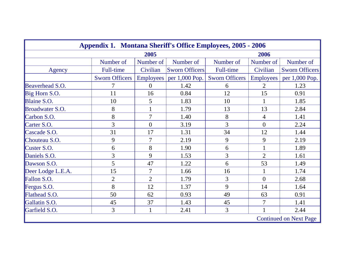| <b>Appendix 1. Montana Sheriff's Office Employees, 2005 - 2006</b> |                       |                |                             |                       |                  |                               |
|--------------------------------------------------------------------|-----------------------|----------------|-----------------------------|-----------------------|------------------|-------------------------------|
| 2005<br>2006                                                       |                       |                |                             |                       |                  |                               |
|                                                                    | Number of             | Number of      | Number of                   | Number of             | Number of        | Number of                     |
| Agency                                                             | Full-time             | Civilian       | <b>Sworn Officers</b>       | Full-time             | Civilian         | <b>Sworn Officers</b>         |
|                                                                    | <b>Sworn Officers</b> |                | Employees $ per 1,000 Pop.$ | <b>Sworn Officers</b> | <b>Employees</b> | per 1,000 Pop.                |
| Beaverhead S.O.                                                    | 7                     | $\theta$       | 1.42                        | 6                     | $\overline{2}$   | 1.23                          |
| Big Horn S.O.                                                      | 11                    | 16             | 0.84                        | 12                    | 15               | 0.91                          |
| Blaine S.O.                                                        | 10                    | 5              | 1.83                        | 10                    | 1                | 1.85                          |
| Broadwater S.O.                                                    | 8                     |                | 1.79                        | 13                    | 13               | 2.84                          |
| Carbon S.O.                                                        | 8                     | $\overline{7}$ | 1.40                        | 8                     | 4                | 1.41                          |
| Carter S.O.                                                        | 3                     | $\theta$       | 3.19                        | $\overline{3}$        | $\overline{0}$   | 2.24                          |
| Cascade S.O.                                                       | 31                    | 17             | 1.31                        | 34                    | 12               | 1.44                          |
| Chouteau S.O.                                                      | 9                     | $\overline{7}$ | 2.19                        | 9                     | 9                | 2.19                          |
| Custer S.O.                                                        | 6                     | 8              | 1.90                        | 6                     | $\mathbf{1}$     | 1.89                          |
| Daniels S.O.                                                       | 3                     | 9              | 1.53                        | 3                     | $\overline{2}$   | 1.61                          |
| Dawson S.O.                                                        | 5                     | 47             | 1.22                        | 6                     | 53               | 1.49                          |
| Deer Lodge L.E.A.                                                  | 15                    | 7              | 1.66                        | 16                    | $\mathbf{1}$     | 1.74                          |
| Fallon S.O.                                                        | $\overline{2}$        | $\overline{2}$ | 1.79                        | 3                     | $\Omega$         | 2.68                          |
| Fergus S.O.                                                        | 8                     | 12             | 1.37                        | 9                     | 14               | 1.64                          |
| Flathead S.O.                                                      | 50                    | 62             | 0.93                        | 49                    | 63               | 0.91                          |
| Gallatin S.O.                                                      | 45                    | 37             | 1.43                        | 45                    | $\overline{7}$   | 1.41                          |
| Garfield S.O.                                                      | 3                     | $\mathbf{1}$   | 2.41                        | 3                     |                  | 2.44                          |
|                                                                    |                       |                |                             |                       |                  | <b>Continued on Next Page</b> |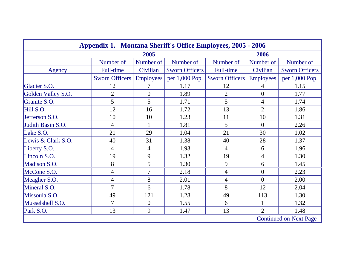| <b>Appendix 1. Montana Sheriff's Office Employees, 2005 - 2006</b> |                       |                  |                       |                       |                  |                               |  |
|--------------------------------------------------------------------|-----------------------|------------------|-----------------------|-----------------------|------------------|-------------------------------|--|
| 2005<br>2006                                                       |                       |                  |                       |                       |                  |                               |  |
|                                                                    | Number of             | Number of        | Number of             | Number of             | Number of        | Number of                     |  |
| Agency                                                             | Full-time             | Civilian         | <b>Sworn Officers</b> | Full-time             | Civilian         | <b>Sworn Officers</b>         |  |
|                                                                    | <b>Sworn Officers</b> | <b>Employees</b> | per 1,000 Pop.        | <b>Sworn Officers</b> | <b>Employees</b> | per 1,000 Pop.                |  |
| Glacier S.O.                                                       | 12                    | 7                | 1.17                  | 12                    | 4                | 1.15                          |  |
| Golden Valley S.O.                                                 | $\overline{2}$        | $\overline{0}$   | 1.89                  | $\overline{2}$        | $\overline{0}$   | 1.77                          |  |
| Granite S.O.                                                       | 5                     | 5                | 1.71                  | 5                     | $\overline{4}$   | 1.74                          |  |
| Hill S.O.                                                          | 12                    | 16               | 1.72                  | 13                    | $\overline{2}$   | 1.86                          |  |
| Jefferson S.O.                                                     | 10                    | 10               | 1.23                  | 11                    | 10               | 1.31                          |  |
| Judith Basin S.O.                                                  | 4                     |                  | 1.81                  | 5                     | $\overline{0}$   | 2.26                          |  |
| Lake S.O.                                                          | 21                    | 29               | 1.04                  | 21                    | 30               | 1.02                          |  |
| Lewis & Clark S.O.                                                 | 40                    | 31               | 1.38                  | 40                    | 28               | 1.37                          |  |
| Liberty S.O.                                                       | $\overline{4}$        | $\overline{4}$   | 1.93                  | $\overline{4}$        | 6                | 1.96                          |  |
| Lincoln S.O.                                                       | 19                    | 9                | 1.32                  | 19                    | $\overline{4}$   | 1.30                          |  |
| Madison S.O.                                                       | 8                     | 5                | 1.30                  | 9                     | 6                | 1.45                          |  |
| McCone S.O.                                                        | 4                     | $\overline{7}$   | 2.18                  | $\overline{4}$        | $\overline{0}$   | 2.23                          |  |
| Meagher S.O.                                                       | 4                     | 8                | 2.01                  | $\overline{4}$        | $\overline{0}$   | 2.00                          |  |
| Mineral S.O.                                                       | 7                     | 6                | 1.78                  | 8                     | 12               | 2.04                          |  |
| Missoula S.O.                                                      | 49                    | 121              | 1.28                  | 49                    | 113              | 1.30                          |  |
| Musselshell S.O.                                                   | $\overline{7}$        | $\overline{0}$   | 1.55                  | 6                     |                  | 1.32                          |  |
| Park S.O.                                                          | 13                    | 9                | 1.47                  | 13                    | $\overline{2}$   | 1.48                          |  |
|                                                                    |                       |                  |                       |                       |                  | <b>Continued on Next Page</b> |  |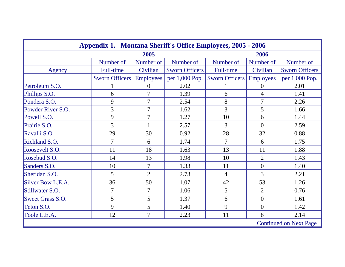| <b>Appendix 1. Montana Sheriff's Office Employees, 2005 - 2006</b> |                |                |                       |                |                  |                       |  |
|--------------------------------------------------------------------|----------------|----------------|-----------------------|----------------|------------------|-----------------------|--|
| 2005<br>2006                                                       |                |                |                       |                |                  |                       |  |
|                                                                    | Number of      | Number of      | Number of             | Number of      | Number of        | Number of             |  |
| Agency                                                             | Full-time      | Civilian       | <b>Sworn Officers</b> | Full-time      | Civilian         | <b>Sworn Officers</b> |  |
|                                                                    | Sworn Officers | Employees      | per 1,000 Pop.        | Sworn Officers | <b>Employees</b> | per 1,000 Pop.        |  |
| Petroleum S.O.                                                     |                | $\overline{0}$ | 2.02                  |                | $\overline{0}$   | 2.01                  |  |
| Phillips S.O.                                                      | 6              | 7              | 1.39                  | 6              | $\overline{4}$   | 1.41                  |  |
| Pondera S.O.                                                       | 9              | 7              | 2.54                  | 8              | $\overline{7}$   | 2.26                  |  |
| Powder River S.O.                                                  | 3              | 7              | 1.62                  | 3              | 5                | 1.66                  |  |
| Powell S.O.                                                        | 9              | 7              | 1.27                  | 10             | 6                | 1.44                  |  |
| Prairie S.O.                                                       | 3              |                | 2.57                  | 3              | $\overline{0}$   | 2.59                  |  |
| Ravalli S.O.                                                       | 29             | 30             | 0.92                  | 28             | 32               | 0.88                  |  |
| Richland S.O.                                                      | $\overline{7}$ | 6              | 1.74                  | $\overline{7}$ | 6                | 1.75                  |  |
| Roosevelt S.O.                                                     | 11             | 18             | 1.63                  | 13             | 11               | 1.88                  |  |
| Rosebud S.O.                                                       | 14             | 13             | 1.98                  | 10             | $\overline{2}$   | 1.43                  |  |
| Sanders S.O.                                                       | 10             | 7              | 1.33                  | 11             | $\overline{0}$   | 1.40                  |  |
| Sheridan S.O.                                                      | 5              | $\overline{2}$ | 2.73                  | $\overline{4}$ | 3                | 2.21                  |  |
| Silver Bow L.E.A.                                                  | 36             | 50             | 1.07                  | 42             | 53               | 1.26                  |  |
| Stillwater S.O.                                                    | $\overline{7}$ | 7              | 1.06                  | 5              | $\overline{2}$   | 0.76                  |  |
| <b>Sweet Grass S.O.</b>                                            | 5              | 5              | 1.37                  | 6              | $\overline{0}$   | 1.61                  |  |
| Teton S.O.                                                         | 9              | 5              | 1.40                  | 9              | $\overline{0}$   | 1.42                  |  |
| Toole L.E.A.                                                       | 12             | $\overline{7}$ | 2.23                  | 11             | 8                | 2.14                  |  |
| <b>Continued on Next Page</b>                                      |                |                |                       |                |                  |                       |  |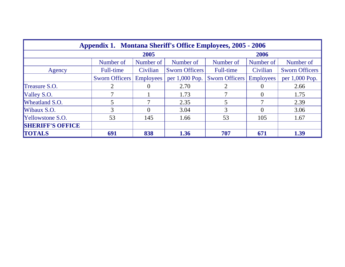| <b>Appendix 1. Montana Sheriff's Office Employees, 2005 - 2006</b> |                       |                  |                       |                       |                  |                       |  |
|--------------------------------------------------------------------|-----------------------|------------------|-----------------------|-----------------------|------------------|-----------------------|--|
|                                                                    |                       | 2005             |                       |                       | 2006             |                       |  |
|                                                                    | Number of             | Number of        | Number of             | Number of             | Number of        | Number of             |  |
| Agency                                                             | <b>Full-time</b>      | Civilian         | <b>Sworn Officers</b> | Full-time             | Civilian         | <b>Sworn Officers</b> |  |
|                                                                    | <b>Sworn Officers</b> | <b>Employees</b> | per $1,000$ Pop.      | <b>Sworn Officers</b> | <b>Employees</b> | per 1,000 Pop.        |  |
| Treasure S.O.                                                      |                       |                  | 2.70                  |                       |                  | 2.66                  |  |
| Valley S.O.                                                        |                       |                  | 1.73                  |                       | $\theta$         | 1.75                  |  |
| <b>Wheatland S.O.</b>                                              |                       |                  | 2.35                  |                       |                  | 2.39                  |  |
| Wibaux S.O.                                                        | 3                     |                  | 3.04                  | 3                     |                  | 3.06                  |  |
| <b>Yellowstone S.O.</b>                                            | 53                    | 145              | 1.66                  | 53                    | 105              | 1.67                  |  |
| <b>SHERIFF'S OFFICE</b>                                            |                       |                  |                       |                       |                  |                       |  |
| <b>TOTALS</b>                                                      | 691                   | 838              | 1.36                  | 707                   | 671              | 1.39                  |  |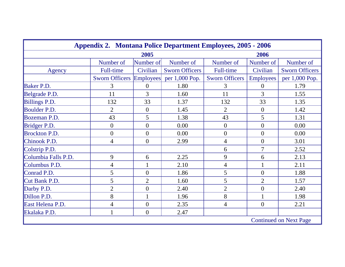| <b>Appendix 2. Montana Police Department Employees, 2005 - 2006</b> |                               |                  |                       |                       |                  |                       |  |  |
|---------------------------------------------------------------------|-------------------------------|------------------|-----------------------|-----------------------|------------------|-----------------------|--|--|
| 2005<br>2006                                                        |                               |                  |                       |                       |                  |                       |  |  |
|                                                                     | Number of                     | Number of        | Number of             | Number of             | Number of        | Number of             |  |  |
| Agency                                                              | <b>Full-time</b>              | Civilian         | <b>Sworn Officers</b> | <b>Full-time</b>      | Civilian         | <b>Sworn Officers</b> |  |  |
|                                                                     | <b>Sworn Officers</b>         | <b>Employees</b> | per 1,000 Pop.        | <b>Sworn Officers</b> | <b>Employees</b> | per 1,000 Pop.        |  |  |
| Baker P.D.                                                          | 3                             | $\overline{0}$   | 1.80                  | 3                     | $\overline{0}$   | 1.79                  |  |  |
| Belgrade P.D.                                                       | 11                            | 3                | 1.60                  | 11                    | 3                | 1.55                  |  |  |
| Billings P.D.                                                       | 132                           | 33               | 1.37                  | 132                   | 33               | 1.35                  |  |  |
| Boulder P.D.                                                        | $\overline{2}$                | $\overline{0}$   | 1.45                  | $\overline{2}$        | $\overline{0}$   | 1.42                  |  |  |
| Bozeman P.D.                                                        | 43                            | 5                | 1.38                  | 43                    | 5                | 1.31                  |  |  |
| Bridger P.D.                                                        | $\overline{0}$                | $\overline{0}$   | 0.00                  | $\overline{0}$        | $\overline{0}$   | 0.00                  |  |  |
| <b>Brockton P.D.</b>                                                | $\overline{0}$                | $\overline{0}$   | 0.00                  | $\overline{0}$        | $\theta$         | 0.00                  |  |  |
| Chinook P.D.                                                        | $\overline{4}$                | $\overline{0}$   | 2.99                  | $\overline{4}$        | $\boldsymbol{0}$ | 3.01                  |  |  |
| Colstrip P.D.                                                       |                               |                  |                       | 6                     | $\overline{7}$   | 2.52                  |  |  |
| Columbia Falls P.D.                                                 | 9                             | 6                | 2.25                  | 9                     | 6                | 2.13                  |  |  |
| Columbus P.D.                                                       | $\overline{4}$                |                  | 2.10                  | $\overline{4}$        | $\mathbf{1}$     | 2.11                  |  |  |
| Conrad P.D.                                                         | 5                             | $\overline{0}$   | 1.86                  | 5                     | $\overline{0}$   | 1.88                  |  |  |
| Cut Bank P.D.                                                       | 5                             | $\overline{2}$   | 1.60                  | 5                     | $\overline{2}$   | 1.57                  |  |  |
| Darby P.D.                                                          | $\overline{2}$                | $\overline{0}$   | 2.40                  | $\overline{2}$        | $\overline{0}$   | 2.40                  |  |  |
| Dillon P.D.                                                         | 8                             |                  | 1.96                  | 8                     |                  | 1.98                  |  |  |
| East Helena P.D.                                                    | $\overline{4}$                | $\overline{0}$   | 2.35                  | $\overline{4}$        | $\overline{0}$   | 2.21                  |  |  |
| Ekalaka P.D.                                                        |                               | $\overline{0}$   | 2.47                  |                       |                  |                       |  |  |
|                                                                     | <b>Continued on Next Page</b> |                  |                       |                       |                  |                       |  |  |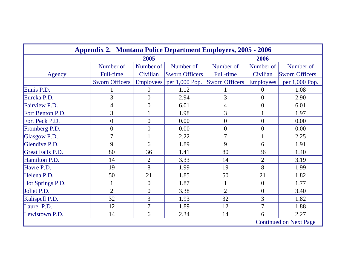| <b>Appendix 2. Montana Police Department Employees, 2005 - 2006</b> |                       |                |                             |                       |                  |                       |  |  |
|---------------------------------------------------------------------|-----------------------|----------------|-----------------------------|-----------------------|------------------|-----------------------|--|--|
| 2005<br>2006                                                        |                       |                |                             |                       |                  |                       |  |  |
|                                                                     | Number of             | Number of      | Number of                   | Number of             | Number of        | Number of             |  |  |
| Agency                                                              | <b>Full-time</b>      | Civilian       | <b>Sworn Officers</b>       | Full-time             | Civilian         | <b>Sworn Officers</b> |  |  |
|                                                                     | <b>Sworn Officers</b> |                | Employees $ per 1,000 Pop.$ | <b>Sworn Officers</b> | <b>Employees</b> | per 1,000 Pop.        |  |  |
| Ennis P.D.                                                          |                       | $\overline{0}$ | 1.12                        |                       | $\theta$         | 1.08                  |  |  |
| Eureka P.D.                                                         | $\overline{3}$        | $\overline{0}$ | 2.94                        | 3                     | $\overline{0}$   | 2.90                  |  |  |
| Fairview P.D.                                                       | $\overline{4}$        | $\overline{0}$ | 6.01                        | $\overline{4}$        | $\overline{0}$   | 6.01                  |  |  |
| Fort Benton P.D.                                                    | $\overline{3}$        |                | 1.98                        | 3                     |                  | 1.97                  |  |  |
| Fort Peck P.D.                                                      | $\boldsymbol{0}$      | $\overline{0}$ | 0.00                        | $\boldsymbol{0}$      | $\boldsymbol{0}$ | 0.00                  |  |  |
| Fromberg P.D.                                                       | $\overline{0}$        | $\overline{0}$ | 0.00                        | $\overline{0}$        | $\overline{0}$   | 0.00                  |  |  |
| Glasgow P.D.                                                        | $\overline{7}$        |                | 2.22                        | 7                     | $\mathbf{1}$     | 2.25                  |  |  |
| Glendive P.D.                                                       | 9                     | 6              | 1.89                        | 9                     | 6                | 1.91                  |  |  |
| <b>Great Falls P.D.</b>                                             | 80                    | 36             | 1.41                        | 80                    | 36               | 1.40                  |  |  |
| Hamilton P.D.                                                       | 14                    | $\overline{2}$ | 3.33                        | 14                    | $\overline{2}$   | 3.19                  |  |  |
| Havre P.D.                                                          | 19                    | 8              | 1.99                        | 19                    | 8                | 1.99                  |  |  |
| Helena P.D.                                                         | 50                    | 21             | 1.85                        | 50                    | 21               | 1.82                  |  |  |
| Hot Springs P.D.                                                    |                       | $\overline{0}$ | 1.87                        |                       | $\overline{0}$   | 1.77                  |  |  |
| Joliet P.D.                                                         | $\overline{2}$        | $\theta$       | 3.38                        | $\overline{2}$        | $\overline{0}$   | 3.40                  |  |  |
| Kalispell P.D.                                                      | 32                    | 3              | 1.93                        | 32                    | $\overline{3}$   | 1.82                  |  |  |
| Laurel P.D.                                                         | 12                    | $\overline{7}$ | 1.89                        | 12                    | $\overline{7}$   | 1.88                  |  |  |
| Lewistown P.D.                                                      | 14                    | 6              | 2.34                        | 14                    | 6                | 2.27                  |  |  |
| <b>Continued on Next Page</b>                                       |                       |                |                             |                       |                  |                       |  |  |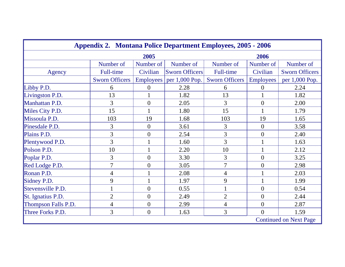| <b>Appendix 2. Montana Police Department Employees, 2005 - 2006</b> |                          |                |                       |                          |                  |                       |  |
|---------------------------------------------------------------------|--------------------------|----------------|-----------------------|--------------------------|------------------|-----------------------|--|
| 2005                                                                |                          |                |                       | 2006                     |                  |                       |  |
|                                                                     | Number of                | Number of      | Number of             | Number of                | Number of        | Number of             |  |
| Agency                                                              | <b>Full-time</b>         | Civilian       | <b>Sworn Officers</b> | Full-time                | Civilian         | <b>Sworn Officers</b> |  |
|                                                                     | <b>Sworn Officers</b>    | Employees      | per 1,000 Pop.        | <b>Sworn Officers</b>    | <b>Employees</b> | per 1,000 Pop.        |  |
| Libby P.D.                                                          | 6                        | 0              | 2.28                  | 6                        | 0                | 2.24                  |  |
| Livingston P.D.                                                     | 13                       |                | 1.82                  | 13                       |                  | 1.82                  |  |
| Manhattan P.D.                                                      | 3                        | $\overline{0}$ | 2.05                  | 3                        | $\boldsymbol{0}$ | 2.00                  |  |
| Miles City P.D.                                                     | 15                       |                | 1.80                  | 15                       |                  | 1.79                  |  |
| Missoula P.D.                                                       | 103                      | 19             | 1.68                  | 103                      | 19               | 1.65                  |  |
| Pinesdale P.D.                                                      | 3                        | $\overline{0}$ | 3.61                  | 3                        | $\overline{0}$   | 3.58                  |  |
| Plains P.D.                                                         | 3                        | $\overline{0}$ | 2.54                  | 3                        | $\overline{0}$   | 2.40                  |  |
| Plentywood P.D.                                                     | $\overline{3}$           |                | 1.60                  | 3                        |                  | 1.63                  |  |
| Polson P.D.                                                         | 10                       |                | 2.20                  | 10                       |                  | 2.12                  |  |
| Poplar P.D.                                                         | 3                        | $\overline{0}$ | 3.30                  | 3                        | $\overline{0}$   | 3.25                  |  |
| Red Lodge P.D.                                                      | $\overline{7}$           | $\overline{0}$ | 3.05                  | $\overline{7}$           | $\boldsymbol{0}$ | 2.98                  |  |
| Ronan P.D.                                                          | $\overline{\mathcal{A}}$ |                | 2.08                  | $\overline{\mathcal{A}}$ |                  | 2.03                  |  |
| Sidney P.D.                                                         | 9                        |                | 1.97                  | 9                        |                  | 1.99                  |  |
| Stevensville P.D.                                                   |                          | $\overline{0}$ | 0.55                  | $\mathbf{1}$             | $\overline{0}$   | 0.54                  |  |
| St. Ignatius P.D.                                                   | $\overline{2}$           | $\overline{0}$ | 2.49                  | $\overline{2}$           | $\boldsymbol{0}$ | 2.44                  |  |
| Thompson Falls P.D.                                                 | $\overline{4}$           | $\overline{0}$ | 2.99                  | $\overline{4}$           | $\overline{0}$   | 2.87                  |  |
| Three Forks P.D.                                                    | 3                        | $\overline{0}$ | 1.63                  | 3                        | $\overline{0}$   | 1.59                  |  |
| <b>Continued on Next Page</b>                                       |                          |                |                       |                          |                  |                       |  |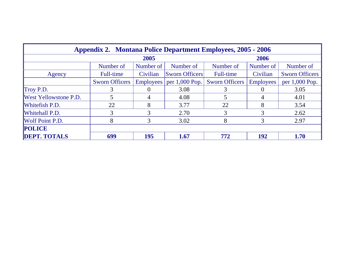| <b>Appendix 2. Montana Police Department Employees, 2005 - 2006</b> |                       |           |                       |                       |                  |                       |  |
|---------------------------------------------------------------------|-----------------------|-----------|-----------------------|-----------------------|------------------|-----------------------|--|
| 2005                                                                |                       |           |                       | 2006                  |                  |                       |  |
|                                                                     | Number of             | Number of | Number of             | Number of             | Number of        | Number of             |  |
| Agency                                                              | Full-time             | Civilian  | <b>Sworn Officers</b> | <b>Full-time</b>      | Civilian         | <b>Sworn Officers</b> |  |
|                                                                     | <b>Sworn Officers</b> | Employees | per $1,000$ Pop.      | <b>Sworn Officers</b> | <b>Employees</b> | per 1,000 Pop.        |  |
| Troy P.D.                                                           | 3                     |           | 3.08                  |                       |                  | 3.05                  |  |
| <b>West Yellowstone P.D.</b>                                        |                       | 4         | 4.08                  |                       | 4                | 4.01                  |  |
| <b>Whitefish P.D.</b>                                               | 22                    | 8         | 3.77                  | 22                    | 8                | 3.54                  |  |
| <b>Whitehall P.D.</b>                                               | 3                     | 3         | 2.70                  | 3                     | 3                | 2.62                  |  |
| <b>Wolf Point P.D.</b>                                              | 8                     | 3         | 3.02                  | 8                     | 3                | 2.97                  |  |
| <b>POLICE</b>                                                       |                       |           |                       |                       |                  |                       |  |
| <b>DEPT. TOTALS</b>                                                 | 699                   | 195       | 1.67                  | 772                   | 192              | 1.70                  |  |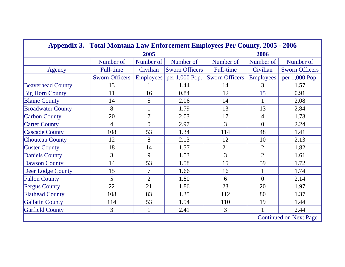| <b>Appendix 3. Total Montana Law Enforcement Employees Per County, 2005 - 2006</b> |                       |                  |                       |                       |                  |                       |  |
|------------------------------------------------------------------------------------|-----------------------|------------------|-----------------------|-----------------------|------------------|-----------------------|--|
|                                                                                    |                       | 2005             |                       | 2006                  |                  |                       |  |
|                                                                                    | Number of             | Number of        | Number of             | Number of             | Number of        | Number of             |  |
| Agency                                                                             | <b>Full-time</b>      | Civilian         | <b>Sworn Officers</b> | Full-time             | Civilian         | <b>Sworn Officers</b> |  |
|                                                                                    | <b>Sworn Officers</b> | <b>Employees</b> | per 1,000 Pop.        | <b>Sworn Officers</b> | <b>Employees</b> | per 1,000 Pop.        |  |
| <b>Beaverhead County</b>                                                           | 13                    |                  | 1.44                  | 14                    | 3                | 1.57                  |  |
| <b>Big Horn County</b>                                                             | 11                    | 16               | 0.84                  | 12                    | 15               | 0.91                  |  |
| <b>Blaine County</b>                                                               | 14                    | 5                | 2.06                  | 14                    |                  | 2.08                  |  |
| <b>Broadwater County</b>                                                           | 8                     |                  | 1.79                  | 13                    | 13               | 2.84                  |  |
| <b>Carbon County</b>                                                               | 20                    | $\overline{7}$   | 2.03                  | 17                    | $\overline{4}$   | 1.73                  |  |
| <b>Carter County</b>                                                               | $\overline{4}$        | $\overline{0}$   | 2.97                  | 3                     | $\overline{0}$   | 2.24                  |  |
| <b>Cascade County</b>                                                              | 108                   | 53               | 1.34                  | 114                   | 48               | 1.41                  |  |
| <b>Chouteau County</b>                                                             | 12                    | 8                | 2.13                  | 12                    | 10               | 2.13                  |  |
| <b>Custer County</b>                                                               | 18                    | 14               | 1.57                  | 21                    | $\overline{2}$   | 1.82                  |  |
| <b>Daniels County</b>                                                              | 3                     | 9                | 1.53                  | 3                     | $\overline{2}$   | 1.61                  |  |
| <b>Dawson County</b>                                                               | 14                    | 53               | 1.58                  | 15                    | 59               | 1.72                  |  |
| Deer Lodge County                                                                  | 15                    | 7                | 1.66                  | 16                    | $\mathbf{1}$     | 1.74                  |  |
| <b>Fallon County</b>                                                               | 5                     | $\overline{2}$   | 1.80                  | 6                     | $\theta$         | 2.14                  |  |
| <b>Fergus County</b>                                                               | 22                    | 21               | 1.86                  | 23                    | 20               | 1.97                  |  |
| <b>Flathead County</b>                                                             | 108                   | 83               | 1.35                  | 112                   | 80               | 1.37                  |  |
| <b>Gallatin County</b>                                                             | 114                   | 53               | 1.54                  | 110                   | 19               | 1.44                  |  |
| <b>Garfield County</b>                                                             | 3                     | $\mathbf{1}$     | 2.41                  | 3                     |                  | 2.44                  |  |
| <b>Continued on Next Page</b>                                                      |                       |                  |                       |                       |                  |                       |  |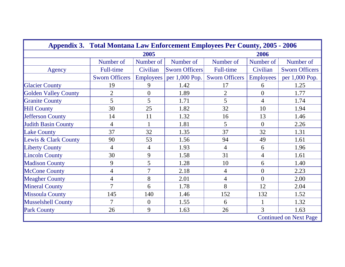| <b>Appendix 3. Total Montana Law Enforcement Employees Per County, 2005 - 2006</b> |                          |                |                       |                       |                  |                       |
|------------------------------------------------------------------------------------|--------------------------|----------------|-----------------------|-----------------------|------------------|-----------------------|
|                                                                                    |                          |                | 2006                  |                       |                  |                       |
|                                                                                    | Number of                | Number of      | Number of             | Number of             | Number of        | Number of             |
| Agency                                                                             | <b>Full-time</b>         | Civilian       | <b>Sworn Officers</b> | Full-time             | Civilian         | <b>Sworn Officers</b> |
|                                                                                    | <b>Sworn Officers</b>    | Employees      | per 1,000 Pop.        | <b>Sworn Officers</b> | <b>Employees</b> | per 1,000 Pop.        |
| <b>Glacier County</b>                                                              | 19                       | 9              | 1.42                  | 17                    | 6                | 1.25                  |
| <b>Golden Valley County</b>                                                        | $\overline{2}$           | $\overline{0}$ | 1.89                  | $\overline{2}$        | $\overline{0}$   | 1.77                  |
| <b>Granite County</b>                                                              | 5                        | 5              | 1.71                  | 5                     | 4                | 1.74                  |
| <b>Hill County</b>                                                                 | 30                       | 25             | 1.82                  | 32                    | 10               | 1.94                  |
| <b>Jefferson County</b>                                                            | 14                       | 11             | 1.32                  | 16                    | 13               | 1.46                  |
| <b>Judith Basin County</b>                                                         | 4                        | 1              | 1.81                  | 5                     | $\theta$         | 2.26                  |
| <b>Lake County</b>                                                                 | 37                       | 32             | 1.35                  | 37                    | 32               | 1.31                  |
| Lewis & Clark County                                                               | 90                       | 53             | 1.56                  | 94                    | 49               | 1.61                  |
| <b>Liberty County</b>                                                              | $\overline{4}$           | $\overline{4}$ | 1.93                  | $\overline{4}$        | 6                | 1.96                  |
| <b>Lincoln County</b>                                                              | 30                       | 9              | 1.58                  | 31                    | $\overline{4}$   | 1.61                  |
| <b>Madison County</b>                                                              | 9                        | 5              | 1.28                  | 10                    | 6                | 1.40                  |
| <b>McCone County</b>                                                               | $\overline{\mathcal{A}}$ | $\overline{7}$ | 2.18                  | $\overline{4}$        | $\overline{0}$   | 2.23                  |
| <b>Meagher County</b>                                                              | $\overline{\mathcal{A}}$ | 8              | 2.01                  | $\overline{4}$        | $\Omega$         | 2.00                  |
| <b>Mineral County</b>                                                              | $\overline{7}$           | 6              | 1.78                  | 8                     | 12               | 2.04                  |
| <b>Missoula County</b>                                                             | 145                      | 140            | 1.46                  | 152                   | 132              | 1.52                  |
| <b>Musselshell County</b>                                                          | 7                        | $\overline{0}$ | 1.55                  | 6                     |                  | 1.32                  |
| <b>Park County</b>                                                                 | 26                       | 9              | 1.63                  | 26                    | 3                | 1.63                  |
| <b>Continued on Next Page</b>                                                      |                          |                |                       |                       |                  |                       |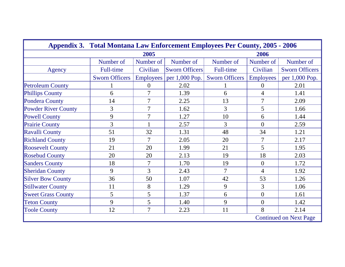| <b>Appendix 3. Total Montana Law Enforcement Employees Per County, 2005 - 2006</b> |                       |                |                       |                       |                  |                       |  |
|------------------------------------------------------------------------------------|-----------------------|----------------|-----------------------|-----------------------|------------------|-----------------------|--|
|                                                                                    | 2005                  |                |                       |                       | 2006             |                       |  |
|                                                                                    | Number of             | Number of      | Number of             | Number of             | Number of        | Number of             |  |
| Agency                                                                             | <b>Full-time</b>      | Civilian       | <b>Sworn Officers</b> | Full-time             | Civilian         | <b>Sworn Officers</b> |  |
|                                                                                    | <b>Sworn Officers</b> | Employees      | per 1,000 Pop.        | <b>Sworn Officers</b> | <b>Employees</b> | per 1,000 Pop.        |  |
| <b>Petroleum County</b>                                                            |                       | $\overline{0}$ | 2.02                  |                       | $\Omega$         | 2.01                  |  |
| <b>Phillips County</b>                                                             | 6                     | 7              | 1.39                  | 6                     | 4                | 1.41                  |  |
| <b>Pondera County</b>                                                              | 14                    | $\overline{7}$ | 2.25                  | 13                    | $\overline{7}$   | 2.09                  |  |
| Powder River County                                                                | 3                     | $\overline{7}$ | 1.62                  | $\overline{3}$        | 5                | 1.66                  |  |
| <b>Powell County</b>                                                               | 9                     |                | 1.27                  | 10                    | 6                | 1.44                  |  |
| <b>Prairie County</b>                                                              | 3                     |                | 2.57                  | 3                     | $\Omega$         | 2.59                  |  |
| Ravalli County                                                                     | 51                    | 32             | 1.31                  | 48                    | 34               | 1.21                  |  |
| <b>Richland County</b>                                                             | 19                    | $\overline{7}$ | 2.05                  | 20                    | 7                | 2.17                  |  |
| <b>Roosevelt County</b>                                                            | 21                    | 20             | 1.99                  | 21                    | 5                | 1.95                  |  |
| <b>Rosebud County</b>                                                              | 20                    | 20             | 2.13                  | 19                    | 18               | 2.03                  |  |
| <b>Sanders County</b>                                                              | 18                    | 7              | 1.70                  | 19                    | $\overline{0}$   | 1.72                  |  |
| <b>Sheridan County</b>                                                             | 9                     | 3              | 2.43                  | $\overline{7}$        | 4                | 1.92                  |  |
| <b>Silver Bow County</b>                                                           | 36                    | 50             | 1.07                  | 42                    | 53               | 1.26                  |  |
| <b>Stillwater County</b>                                                           | 11                    | 8              | 1.29                  | 9                     | 3                | 1.06                  |  |
| <b>Sweet Grass County</b>                                                          | 5                     | 5              | 1.37                  | 6                     | $\overline{0}$   | 1.61                  |  |
| <b>Teton County</b>                                                                | 9                     | 5              | 1.40                  | 9                     | $\mathbf{0}$     | 1.42                  |  |
| <b>Toole County</b>                                                                | 12                    | $\overline{7}$ | 2.23                  | 11                    | 8                | 2.14                  |  |
| <b>Continued on Next Page</b>                                                      |                       |                |                       |                       |                  |                       |  |